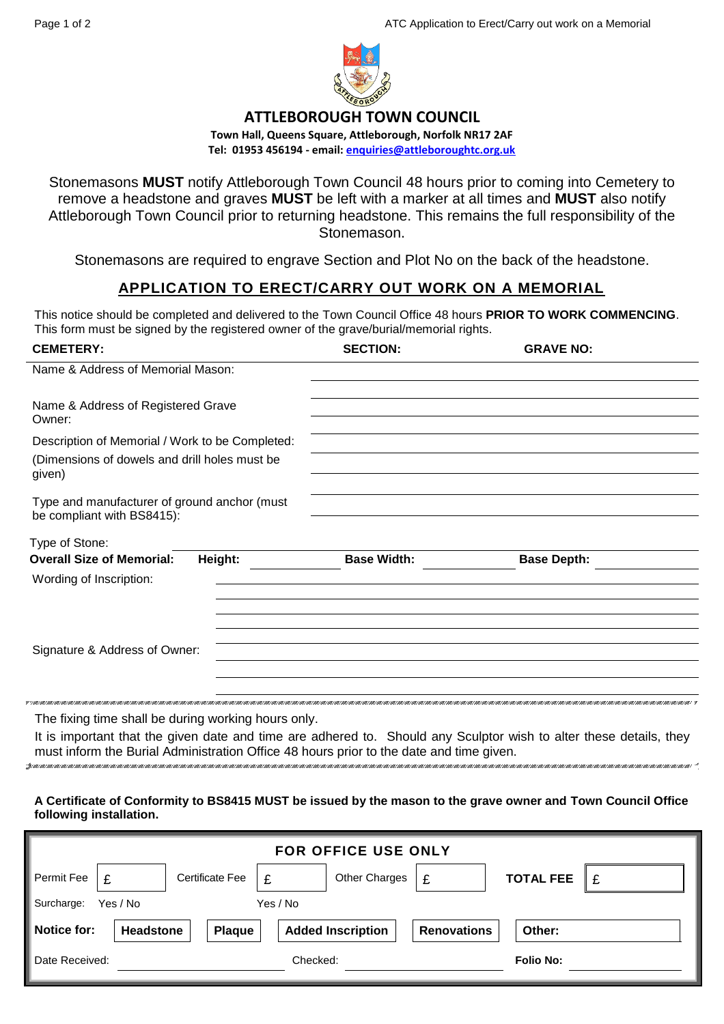

**ATTLEBOROUGH TOWN COUNCIL**

**Town Hall, Queens Square, Attleborough, Norfolk NR17 2AF Tel: 01953 456194 - email[: enquiries@attleboroughtc.org.uk](mailto:enquiries@attleboroughtc.org.uk)**

Stonemasons **MUST** notify Attleborough Town Council 48 hours prior to coming into Cemetery to remove a headstone and graves **MUST** be left with a marker at all times and **MUST** also notify Attleborough Town Council prior to returning headstone. This remains the full responsibility of the Stonemason.

Stonemasons are required to engrave Section and Plot No on the back of the headstone.

## **APPLICATION TO ERECT/CARRY OUT WORK ON A MEMORIAL**

This notice should be completed and delivered to the Town Council Office 48 hours **PRIOR TO WORK COMMENCING**. This form must be signed by the registered owner of the grave/burial/memorial rights.

| <b>CEMETERY:</b>                                                           | <b>SECTION:</b>    | <b>GRAVE NO:</b>   |  |
|----------------------------------------------------------------------------|--------------------|--------------------|--|
| Name & Address of Memorial Mason:                                          |                    |                    |  |
|                                                                            |                    |                    |  |
| Name & Address of Registered Grave<br>Owner:                               |                    |                    |  |
| Description of Memorial / Work to be Completed:                            |                    |                    |  |
| (Dimensions of dowels and drill holes must be<br>given)                    |                    |                    |  |
| Type and manufacturer of ground anchor (must<br>be compliant with BS8415): |                    |                    |  |
| Type of Stone:                                                             |                    |                    |  |
| <b>Overall Size of Memorial:</b><br>Height:                                | <b>Base Width:</b> | <b>Base Depth:</b> |  |
| Wording of Inscription:                                                    |                    |                    |  |
|                                                                            |                    |                    |  |
|                                                                            |                    |                    |  |
| Signature & Address of Owner:                                              |                    |                    |  |
|                                                                            |                    |                    |  |
|                                                                            |                    |                    |  |
|                                                                            |                    |                    |  |

The fixing time shall be during working hours only.

It is important that the given date and time are adhered to. Should any Sculptor wish to alter these details, they must inform the Burial Administration Office 48 hours prior to the date and time given.

## **A Certificate of Conformity to BS8415 MUST be issued by the mason to the grave owner and Town Council Office following installation.**

| <b>FOR OFFICE USE ONLY</b>         |   |                  |          |                 |   |                  |                          |                    |  |                  |   |
|------------------------------------|---|------------------|----------|-----------------|---|------------------|--------------------------|--------------------|--|------------------|---|
| Permit Fee                         | £ |                  |          | Certificate Fee | £ |                  | <b>Other Charges</b>     | £                  |  | <b>TOTAL FEE</b> | £ |
| Surcharge:<br>Yes / No<br>Yes / No |   |                  |          |                 |   |                  |                          |                    |  |                  |   |
| <b>Notice for:</b>                 |   | <b>Headstone</b> |          | Plaque          |   |                  | <b>Added Inscription</b> | <b>Renovations</b> |  | Other:           |   |
| Date Received:                     |   |                  | Checked: |                 |   | <b>Folio No:</b> |                          |                    |  |                  |   |